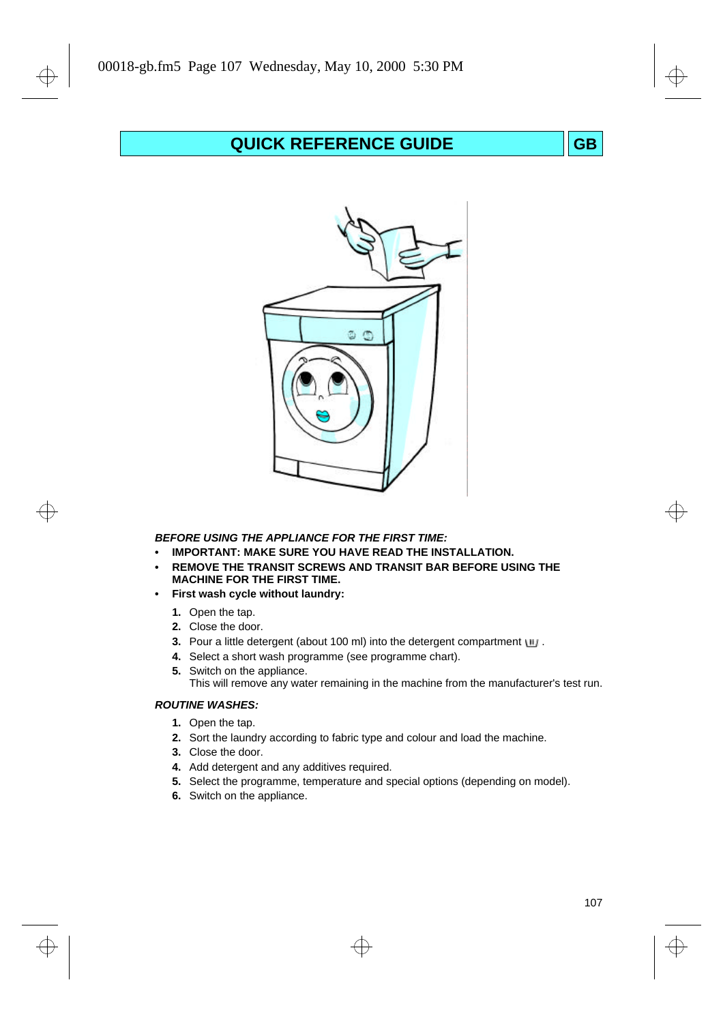# **QUICK REFERENCE GUIDE GB**



## **BEFORE USING THE APPLIANCE FOR THE FIRST TIME:**

- **• IMPORTANT: MAKE SURE YOU HAVE READ THE INSTALLATION.**
- **• REMOVE THE TRANSIT SCREWS AND TRANSIT BAR BEFORE USING THE MACHINE FOR THE FIRST TIME.**
- **• First wash cycle without laundry:**
	- **1.** Open the tap.
	- **2.** Close the door.
	- **3.** Pour a little detergent (about 100 ml) into the detergent compartment  $\blacksquare$ .
	- **4.** Select a short wash programme (see programme chart).
	- **5.** Switch on the appliance.
		- This will remove any water remaining in the machine from the manufacturer's test run.

## **ROUTINE WASHES:**

- **1.** Open the tap.
- **2.** Sort the laundry according to fabric type and colour and load the machine.
- **3.** Close the door.
- **4.** Add detergent and any additives required.
- **5.** Select the programme, temperature and special options (depending on model).
- **6.** Switch on the appliance.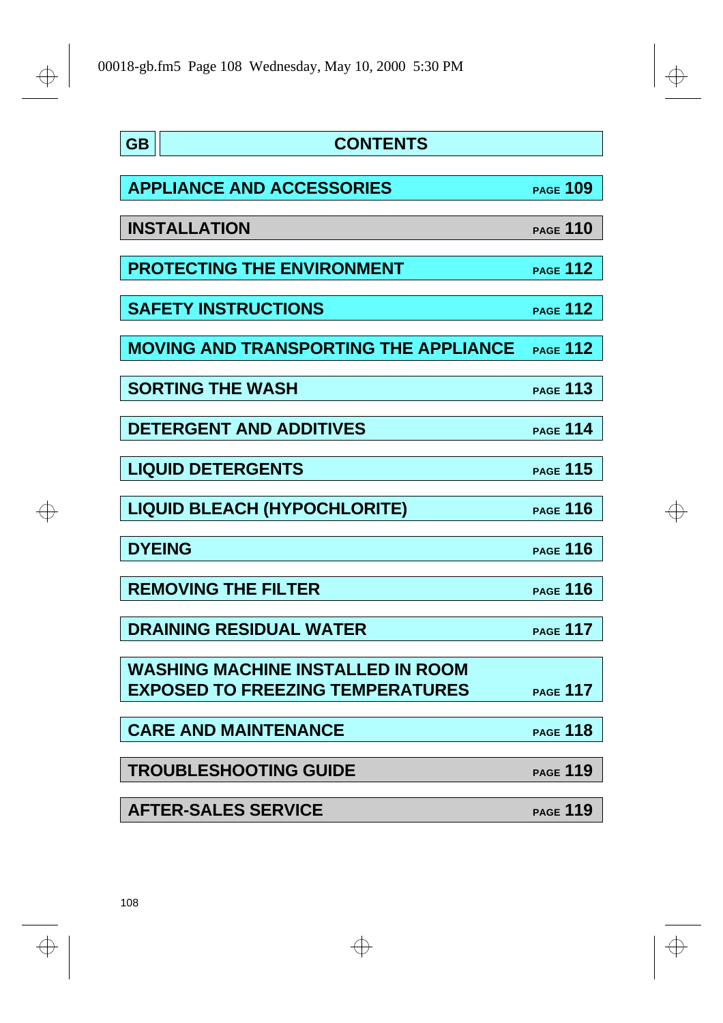$\bigoplus$ 

 $\color{black} \bigoplus$ 

 $\frac{1}{\Phi}$ 

| <b>GB</b> | <b>CONTENTS</b>                              |                 |
|-----------|----------------------------------------------|-----------------|
|           |                                              |                 |
|           | <b>APPLIANCE AND ACCESSORIES</b>             | <b>PAGE 109</b> |
|           | <b>INSTALLATION</b>                          | PAGE 110        |
|           | <b>PROTECTING THE ENVIRONMENT</b>            | <b>PAGE 112</b> |
|           | <b>SAFETY INSTRUCTIONS</b>                   | <b>PAGE 112</b> |
|           | <b>MOVING AND TRANSPORTING THE APPLIANCE</b> | <b>PAGE 112</b> |
|           | <b>SORTING THE WASH</b>                      | <b>PAGE 113</b> |
|           | <b>DETERGENT AND ADDITIVES</b>               | <b>PAGE 114</b> |
|           | <b>LIQUID DETERGENTS</b>                     | <b>PAGE 115</b> |
|           | <b>LIQUID BLEACH (HYPOCHLORITE)</b>          | <b>PAGE 116</b> |
|           | <b>DYEING</b>                                | <b>PAGE 116</b> |
|           | <b>REMOVING THE FILTER</b>                   | <b>PAGE 116</b> |
|           | <b>DRAINING RESIDUAL WATER</b>               | <b>PAGE 117</b> |
|           | <b>WASHING MACHINE INSTALLED IN ROOM</b>     |                 |
|           | <b>EXPOSED TO FREEZING TEMPERATURES</b>      | <b>PAGE 117</b> |
|           | <b>CARE AND MAINTENANCE</b>                  | <b>PAGE 118</b> |
|           | <b>TROUBLESHOOTING GUIDE</b>                 | <b>PAGE 119</b> |
|           | <b>AFTER-SALES SERVICE</b>                   | <b>PAGE 119</b> |

 $\Rightarrow$ 

 $\Rightarrow$ 

 $\Rightarrow$ 

 $\Rightarrow$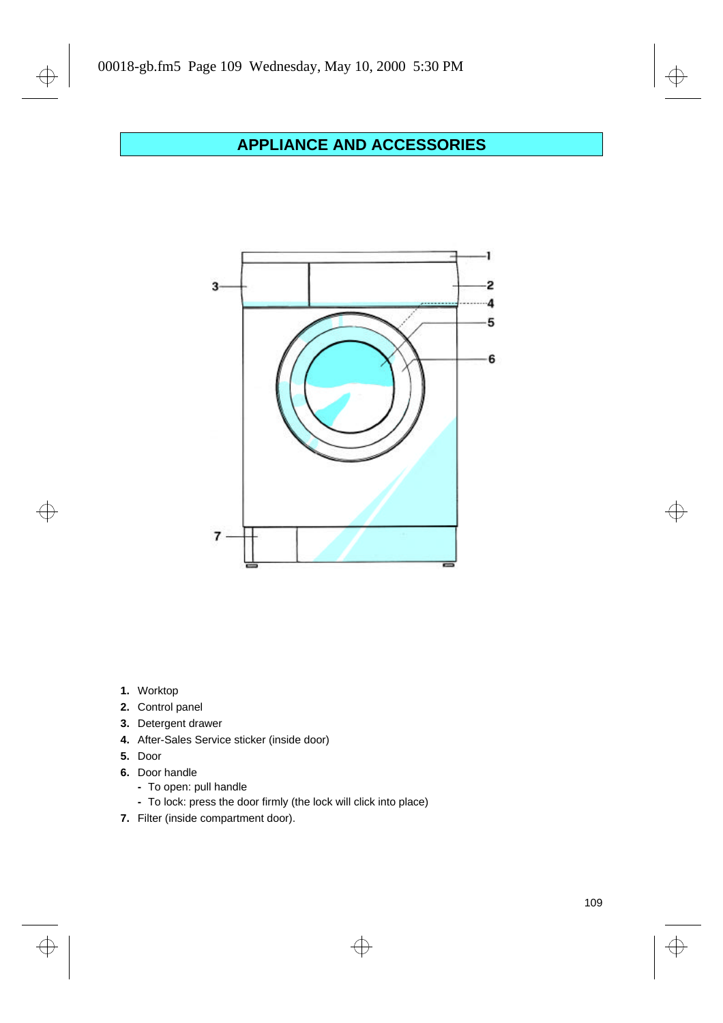# **APPLIANCE AND ACCESSORIES**



**1.** Worktop

 $\bigoplus$ 

 $\Rightarrow$ 

- **2.** Control panel
- **3.** Detergent drawer
- **4.** After-Sales Service sticker (inside door)
- **5.** Door
- **6.** Door handle
	- **-** To open: pull handle
	- **-** To lock: press the door firmly (the lock will click into place)

 $\overline{\bigoplus}$ 

**7.** Filter (inside compartment door).

 $\overline{\bigoplus}$ 

 $\overline{\bigoplus}$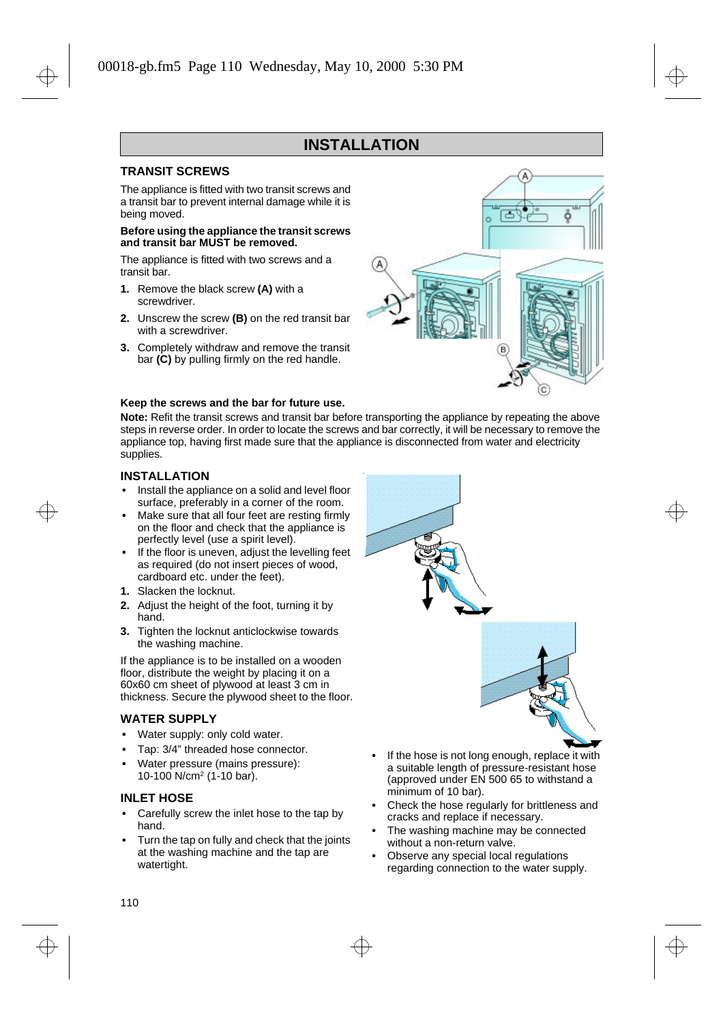#### **. INSTALLATION**

## **TRANSIT SCREWS**

The appliance is fitted with two transit screws and a transit bar to prevent internal damage while it is being moved.

#### **Before using the appliance the transit screws and transit bar MUST be removed.**

The appliance is fitted with two screws and a transit bar.

- **1.** Remove the black screw **(A)** with a screwdriver.
- **2.** Unscrew the screw **(B)** on the red transit bar with a screwdriver.
- **3.** Completely withdraw and remove the transit bar **(C)** by pulling firmly on the red handle.



## **Keep the screws and the bar for future use.**

**Note:** Refit the transit screws and transit bar before transporting the appliance by repeating the above steps in reverse order. In order to locate the screws and bar correctly, it will be necessary to remove the appliance top, having first made sure that the appliance is disconnected from water and electricity supplies.

**t**

## **INSTALLATION**

- **•** Install the appliance on a solid and level floor surface, preferably in a corner of the room.
- **•** Make sure that all four feet are resting firmly on the floor and check that the appliance is perfectly level (use a spirit level).
- **•** If the floor is uneven, adjust the levelling feet as required (do not insert pieces of wood, cardboard etc. under the feet).
- **1.** Slacken the locknut.
- **2.** Adjust the height of the foot, turning it by hand.
- **3.** Tighten the locknut anticlockwise towards the washing machine.

If the appliance is to be installed on a wooden floor, distribute the weight by placing it on a 60x60 cm sheet of plywood at least 3 cm in thickness. Secure the plywood sheet to the floor.

#### **WATER SUPPLY**

- **•** Water supply: only cold water.
- **•** Tap: 3/4" threaded hose connector.
- **•** Water pressure (mains pressure): 10-100 N/cm<sup>2</sup> (1-10 bar).

#### **INLET HOSE**

- **•** Carefully screw the inlet hose to the tap by hand.
- **•** Turn the tap on fully and check that the joints at the washing machine and the tap are watertight.



- **•** If the hose is not long enough, replace it with a suitable length of pressure-resistant hose (approved under EN 500 65 to withstand a minimum of 10 bar).
- **•** Check the hose regularly for brittleness and cracks and replace if necessary.
- **•** The washing machine may be connected without a non-return valve.
- **•** Observe any special local regulations regarding connection to the water supply.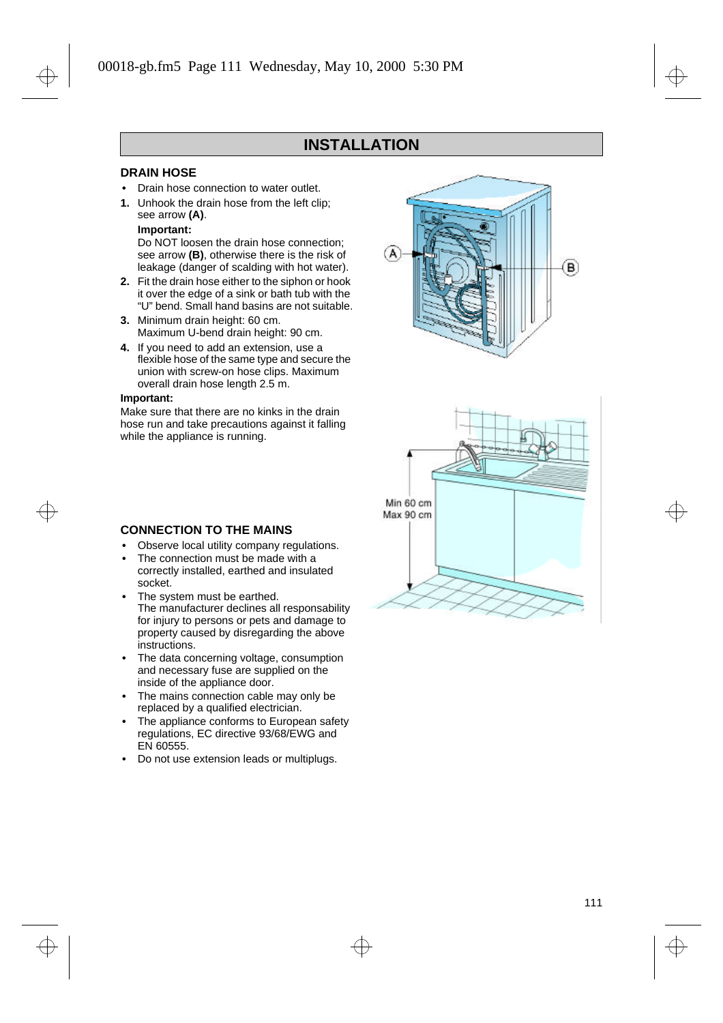## **INSTALLATION**

## **DRAIN HOSE**

- **•** Drain hose connection to water outlet.
- **1.** Unhook the drain hose from the left clip; see arrow **(A)**.

## **Important:**

Do NOT loosen the drain hose connection; see arrow **(B)**, otherwise there is the risk of leakage (danger of scalding with hot water).

- **2.** Fit the drain hose either to the siphon or hook it over the edge of a sink or bath tub with the "U" bend. Small hand basins are not suitable.
- **3.** Minimum drain height: 60 cm. Maximum U-bend drain height: 90 cm.
- **4.** If you need to add an extension, use a flexible hose of the same type and secure the union with screw-on hose clips. Maximum overall drain hose length 2.5 m.

#### **Important:**

Make sure that there are no kinks in the drain hose run and take precautions against it falling while the appliance is running.





## **CONNECTION TO THE MAINS**

- **•** Observe local utility company regulations.
- **•** The connection must be made with a correctly installed, earthed and insulated socket.
- **•** The system must be earthed. The manufacturer declines all responsability for injury to persons or pets and damage to property caused by disregarding the above instructions.
- **•** The data concerning voltage, consumption and necessary fuse are supplied on the inside of the appliance door.
- **•** The mains connection cable may only be replaced by a qualified electrician.
- **•** The appliance conforms to European safety regulations, EC directive 93/68/EWG and EN 60555.
- **•** Do not use extension leads or multiplugs.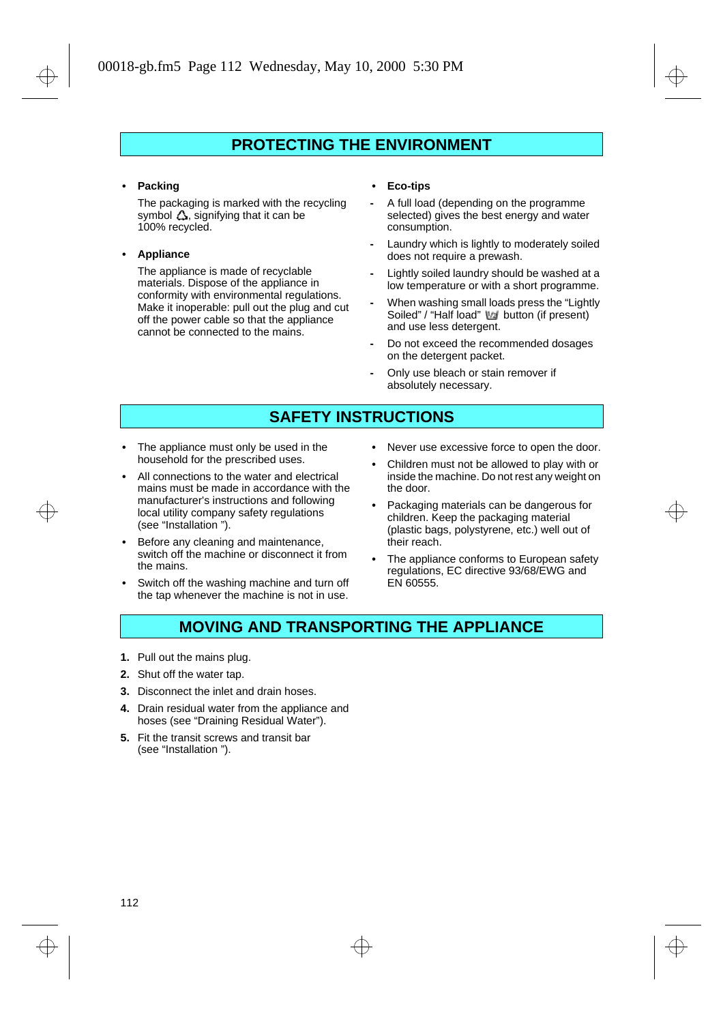## **PROTECTING THE ENVIRONMENT**

**• Packing**

The packaging is marked with the recycling symbol  $\Delta$ , signifying that it can be 100% recycled.

#### **• Appliance**

The appliance is made of recyclable materials. Dispose of the appliance in conformity with environmental regulations. Make it inoperable: pull out the plug and cut off the power cable so that the appliance cannot be connected to the mains.

#### **• Eco-tips**

- **-** A full load (depending on the programme selected) gives the best energy and water consumption.
- **-** Laundry which is lightly to moderately soiled does not require a prewash.
- **-** Lightly soiled laundry should be washed at a low temperature or with a short programme.
- **-** When washing small loads press the "Lightly Soiled" / "Half load" Ma button (if present) and use less detergent.
- **-** Do not exceed the recommended dosages on the detergent packet.
- **-** Only use bleach or stain remover if absolutely necessary.

## **SAFETY INSTRUCTIONS**

- **•** The appliance must only be used in the household for the prescribed uses.
- **•** All connections to the water and electrical mains must be made in accordance with the manufacturer's instructions and following local utility company safety regulations (see "Installation ").
- **•** Before any cleaning and maintenance, switch off the machine or disconnect it from the mains.
- **•** Switch off the washing machine and turn off the tap whenever the machine is not in use.
- **•** Never use excessive force to open the door.
- **•** Children must not be allowed to play with or inside the machine. Do not rest any weight on the door.
- **•** Packaging materials can be dangerous for children. Keep the packaging material (plastic bags, polystyrene, etc.) well out of their reach.
- **•** The appliance conforms to European safety regulations, EC directive 93/68/EWG and EN 60555.

## **MOVING AND TRANSPORTING THE APPLIANCE**

- **1.** Pull out the mains plug.
- **2.** Shut off the water tap.
- **3.** Disconnect the inlet and drain hoses.
- **4.** Drain residual water from the appliance and hoses (see "Draining Residual Water").
- **5.** Fit the transit screws and transit bar (see "Installation ").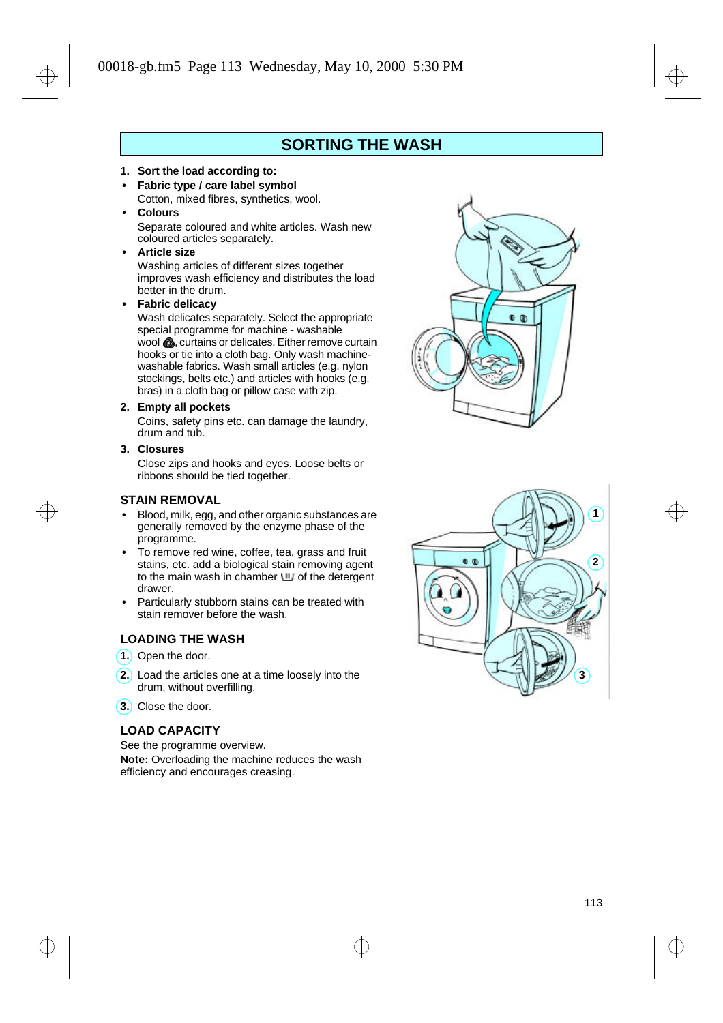## **SORTING THE WASH**

- **1. Sort the load according to:**
- **• Fabric type / care label symbol** Cotton, mixed fibres, synthetics, wool.
- **• Colours** Separate coloured and white articles. Wash new coloured articles separately.
- **• Article size**

Washing articles of different sizes together improves wash efficiency and distributes the load better in the drum.

**• Fabric delicacy**

Wash delicates separately. Select the appropriate special programme for machine - washable wool , curtains or delicates. Either remove curtain hooks or tie into a cloth bag. Only wash machinewashable fabrics. Wash small articles (e.g. nylon stockings, belts etc.) and articles with hooks (e.g. bras) in a cloth bag or pillow case with zip.

**2. Empty all pockets**

Coins, safety pins etc. can damage the laundry, drum and tub.

**3. Closures**

Close zips and hooks and eyes. Loose belts or ribbons should be tied together.

## **STAIN REMOVAL**

- **•** Blood, milk, egg, and other organic substances are generally removed by the enzyme phase of the programme.
- **•** To remove red wine, coffee, tea, grass and fruit stains, etc. add a biological stain removing agent to the main wash in chamber  $\mathbf{u}$  of the detergent drawer.
- **•** Particularly stubborn stains can be treated with stain remover before the wash.

## **LOADING THE WASH**

- 1. Open the door.
- Load the articles one at a time loosely into the **2.** drum, without overfilling.
- Close the door. **3.**

## **LOAD CAPACITY**

See the programme overview. **Note:** Overloading the machine reduces the wash efficiency and encourages creasing.



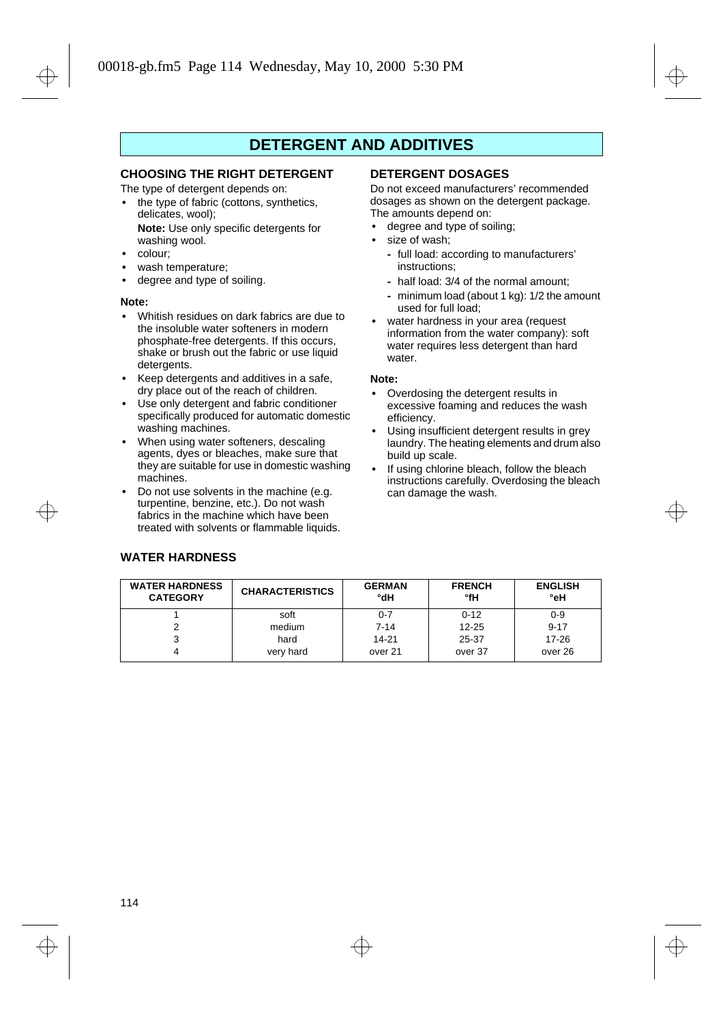## **DETERGENT AND ADDITIVES**

## **CHOOSING THE RIGHT DETERGENT**

The type of detergent depends on:

- **•** the type of fabric (cottons, synthetics, delicates, wool); **Note:** Use only specific detergents for washing wool.
- **•** colour;
- **•** wash temperature;
- **•** degree and type of soiling.

#### **Note:**

- **•** Whitish residues on dark fabrics are due to the insoluble water softeners in modern phosphate-free detergents. If this occurs, shake or brush out the fabric or use liquid detergents.
- **•** Keep detergents and additives in a safe, dry place out of the reach of children.
- **•** Use only detergent and fabric conditioner specifically produced for automatic domestic washing machines.
- **•** When using water softeners, descaling agents, dyes or bleaches, make sure that they are suitable for use in domestic washing machines.
- **•** Do not use solvents in the machine (e.g. turpentine, benzine, etc.). Do not wash fabrics in the machine which have been treated with solvents or flammable liquids.

## **DETERGENT DOSAGES**

Do not exceed manufacturers' recommended dosages as shown on the detergent package. The amounts depend on:

- **•** degree and type of soiling;
- **•** size of wash;
	- **-** full load: according to manufacturers' instructions;
	- **-** half load: 3/4 of the normal amount;
	- **-** minimum load (about 1 kg): 1/2 the amount used for full load;
- **•** water hardness in your area (request information from the water company): soft water requires less detergent than hard water.

#### **Note:**

- **•** Overdosing the detergent results in excessive foaming and reduces the wash efficiency.
- **•** Using insufficient detergent results in grey laundry. The heating elements and drum also build up scale.
- **•** If using chlorine bleach, follow the bleach instructions carefully. Overdosing the bleach can damage the wash.

| <b>WATER HARDNESS</b><br><b>CATEGORY</b> | <b>CHARACTERISTICS</b> | <b>GERMAN</b><br>°dH | <b>FRENCH</b><br>°fH | <b>ENGLISH</b><br>°eH |
|------------------------------------------|------------------------|----------------------|----------------------|-----------------------|
|                                          | soft                   | $0 - 7$              | $0 - 12$             | $0 - 9$               |
| ົ                                        | medium                 | $7 - 14$             | $12 - 25$            | $9 - 17$              |
|                                          | hard                   | 14-21                | 25-37                | $17 - 26$             |
|                                          | very hard              | over 21              | over 37              | over 26               |

## **WATER HARDNESS**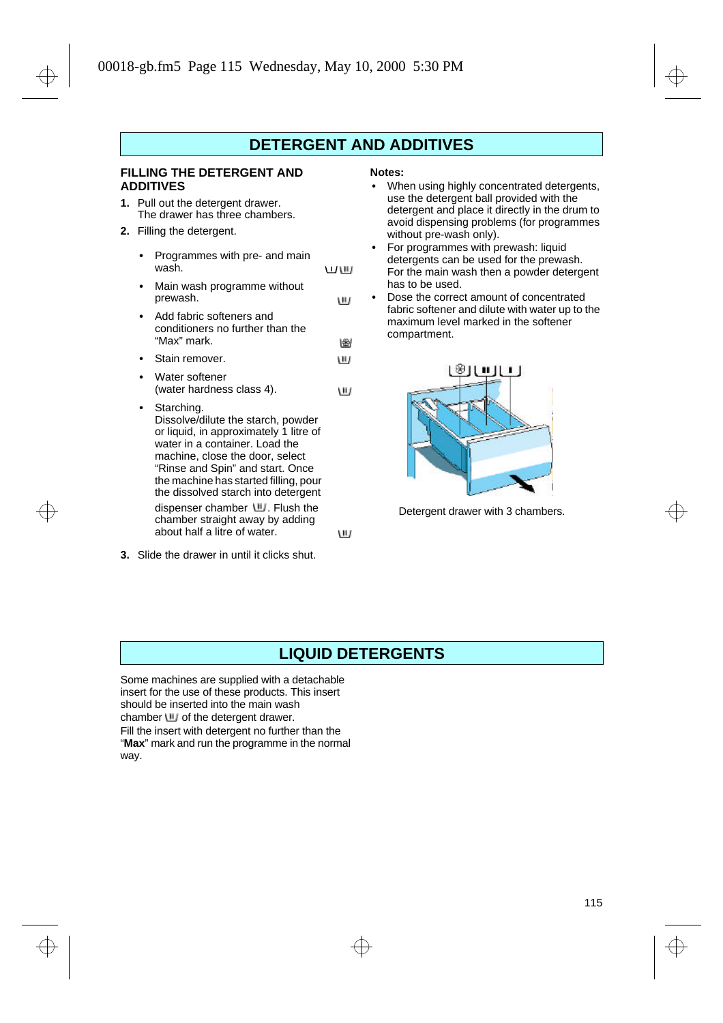## **DETERGENT AND ADDITIVES**

w

## **FILLING THE DETERGENT AND ADDITIVES**

- **1.** Pull out the detergent drawer. The drawer has three chambers.
- **2.** Filling the detergent.
	- **•** Programmes with pre- and main wash. 立脚 **•** Main wash programme without
	- prewash. **•** Add fabric softeners and conditioners no further than the "Max" mark.
	- 圈 **•** Stain remover. W
	- **•** Water softener (water hardness class 4). **ULI**
	- **•** Starching. Dissolve/dilute the starch, powder or liquid, in approximately 1 litre of water in a container. Load the machine, close the door, select "Rinse and Spin" and start. Once the machine has started filling, pour

the dissolved starch into detergent dispenser chamber  $\mathbf{u}$ . Flush the chamber straight away by adding about half a litre of water.

**3.** Slide the drawer in until it clicks shut.

#### **Notes:**

- **•** When using highly concentrated detergents, use the detergent ball provided with the detergent and place it directly in the drum to avoid dispensing problems (for programmes without pre-wash only).
- **•** For programmes with prewash: liquid detergents can be used for the prewash. For the main wash then a powder detergent has to be used.
- **•** Dose the correct amount of concentrated fabric softener and dilute with water up to the maximum level marked in the softener compartment.



Detergent drawer with 3 chambers.

## **LIQUID DETERGENTS**

W

Some machines are supplied with a detachable insert for the use of these products. This insert should be inserted into the main wash chamber  $\mathbf{u}$  of the detergent drawer.

Fill the insert with detergent no further than the "**Max**" mark and run the programme in the normal way.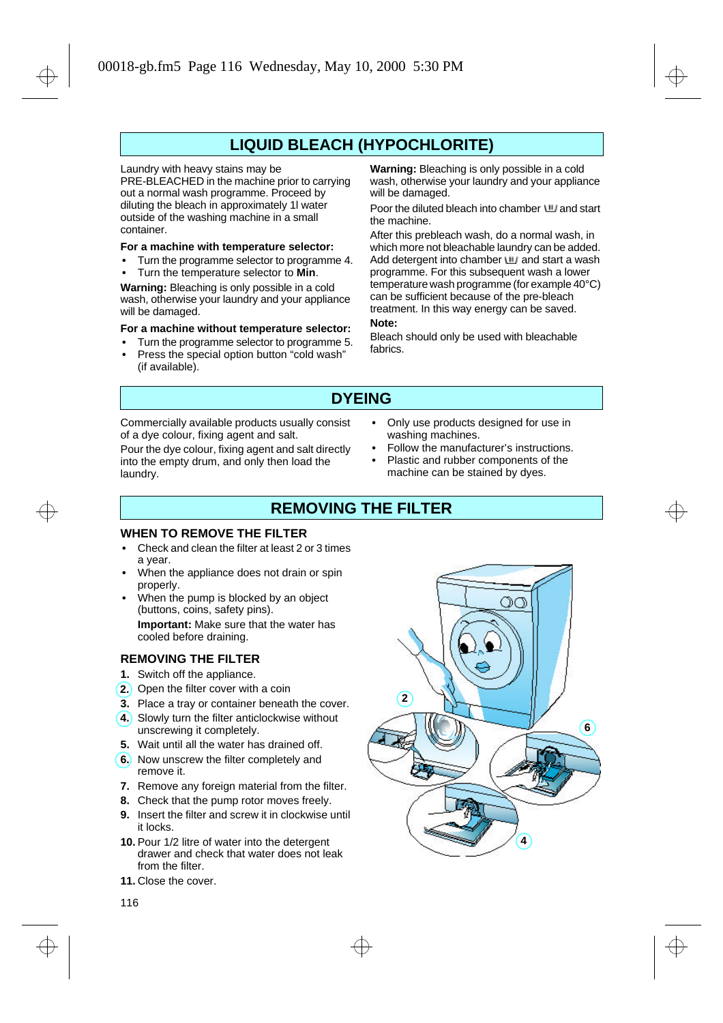## **LIQUID BLEACH (HYPOCHLORITE)**

#### Laundry with heavy stains may be

PRE-BLEACHED in the machine prior to carrying out a normal wash programme. Proceed by diluting the bleach in approximately 1l water outside of the washing machine in a small container.

## **For a machine with temperature selector:**

- **•** Turn the programme selector to programme 4.
- **•** Turn the temperature selector to **Min**.

**Warning:** Bleaching is only possible in a cold wash, otherwise your laundry and your appliance will be damaged.

## **For a machine without temperature selector:**

- **•** Turn the programme selector to programme 5.
- **•** Press the special option button "cold wash" (if available).

**Warning:** Bleaching is only possible in a cold wash, otherwise your laundry and your appliance will be damaged.

Poor the diluted bleach into chamber  $U$  and start the machine.

After this prebleach wash, do a normal wash, in which more not bleachable laundry can be added. Add detergent into chamber  $\mathbf{u}$  and start a wash programme. For this subsequent wash a lower temperature wash programme (for example 40°C) can be sufficient because of the pre-bleach treatment. In this way energy can be saved. **Note:**

Bleach should only be used with bleachable fabrics.

## **DYEING**

Commercially available products usually consist of a dye colour, fixing agent and salt.

Pour the dye colour, fixing agent and salt directly into the empty drum, and only then load the laundry.

- **•** Only use products designed for use in washing machines.
- **•** Follow the manufacturer's instructions.
- **•** Plastic and rubber components of the machine can be stained by dyes.

## **REMOVING THE FILTER**

## **WHEN TO REMOVE THE FILTER**

- **•** Check and clean the filter at least 2 or 3 times a year.
- **•** When the appliance does not drain or spin properly.
- **•** When the pump is blocked by an object (buttons, coins, safety pins). **Important:** Make sure that the water has cooled before draining.

#### **REMOVING THE FILTER**

- **1.** Switch off the appliance.
- 2.) Open the filter cover with a coin
- **3.** Place a tray or container beneath the cover.
- Slowly turn the filter anticlockwise without **4.** unscrewing it completely.
- **5.** Wait until all the water has drained off.
- **6.** Now unscrew the filter completely and remove it.
- **7.** Remove any foreign material from the filter.
- **8.** Check that the pump rotor moves freely.
- **9.** Insert the filter and screw it in clockwise until it locks.
- **10.** Pour 1/2 litre of water into the detergent drawer and check that water does not leak from the filter.
- **11.** Close the cover.



116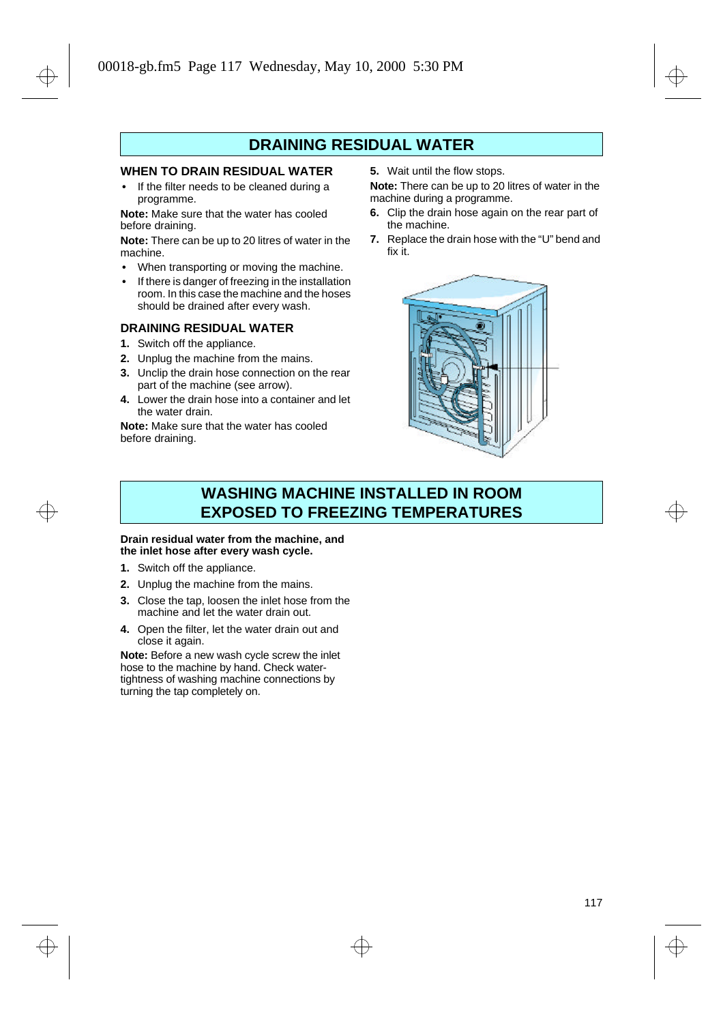## **DRAINING RESIDUAL WATER**

## **WHEN TO DRAIN RESIDUAL WATER**

**•** If the filter needs to be cleaned during a programme.

**Note:** Make sure that the water has cooled before draining.

**Note:** There can be up to 20 litres of water in the machine.

- **•** When transporting or moving the machine.
- **•** If there is danger of freezing in the installation room. In this case the machine and the hoses should be drained after every wash.

## **DRAINING RESIDUAL WATER**

- **1.** Switch off the appliance.
- **2.** Unplug the machine from the mains.
- **3.** Unclip the drain hose connection on the rear part of the machine (see arrow).
- **4.** Lower the drain hose into a container and let the water drain.

**Note:** Make sure that the water has cooled before draining.

**5.** Wait until the flow stops.

**Note:** There can be up to 20 litres of water in the machine during a programme.

- **6.** Clip the drain hose again on the rear part of the machine.
- **7.** Replace the drain hose with the "U" bend and fix it.



## **WASHING MACHINE INSTALLED IN ROOM EXPOSED TO FREEZING TEMPERATURES**

#### **Drain residual water from the machine, and the inlet hose after every wash cycle.**

- **1.** Switch off the appliance.
- **2.** Unplug the machine from the mains.
- **3.** Close the tap, loosen the inlet hose from the machine and let the water drain out.
- **4.** Open the filter, let the water drain out and close it again.

**Note:** Before a new wash cycle screw the inlet hose to the machine by hand. Check watertightness of washing machine connections by turning the tap completely on.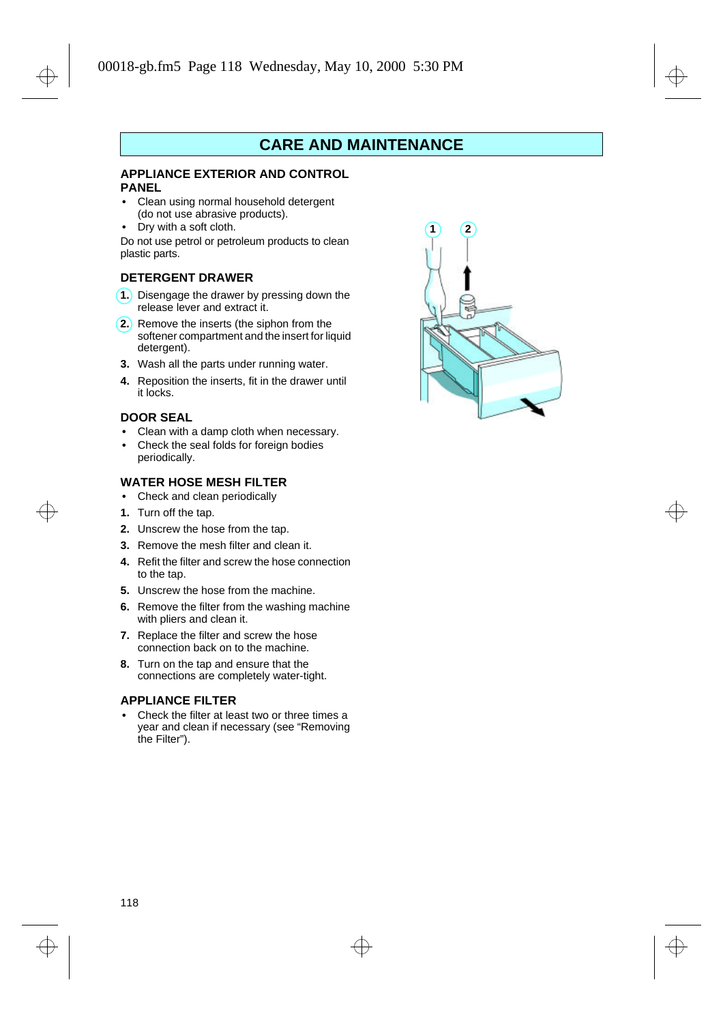## **CARE AND MAINTENANCE**

## **APPLIANCE EXTERIOR AND CONTROL PANEL**

- **•** Clean using normal household detergent (do not use abrasive products).
- **•** Dry with a soft cloth.

Do not use petrol or petroleum products to clean plastic parts.

### **DETERGENT DRAWER**

- **1.** Disengage the drawer by pressing down the release lever and extract it.
- **2.** Remove the inserts (the siphon from the softener compartment and the insert for liquid detergent).
- **3.** Wash all the parts under running water.
- **4.** Reposition the inserts, fit in the drawer until it locks.

## **DOOR SEAL**

- **•** Clean with a damp cloth when necessary.
- **•** Check the seal folds for foreign bodies periodically.

## **WATER HOSE MESH FILTER**

- **•** Check and clean periodically
- **1.** Turn off the tap.
- **2.** Unscrew the hose from the tap.
- **3.** Remove the mesh filter and clean it.
- **4.** Refit the filter and screw the hose connection to the tap.
- **5.** Unscrew the hose from the machine.
- **6.** Remove the filter from the washing machine with pliers and clean it.
- **7.** Replace the filter and screw the hose connection back on to the machine.
- **8.** Turn on the tap and ensure that the connections are completely water-tight.

## **APPLIANCE FILTER**

**•** Check the filter at least two or three times a year and clean if necessary (see "Removing the Filter").